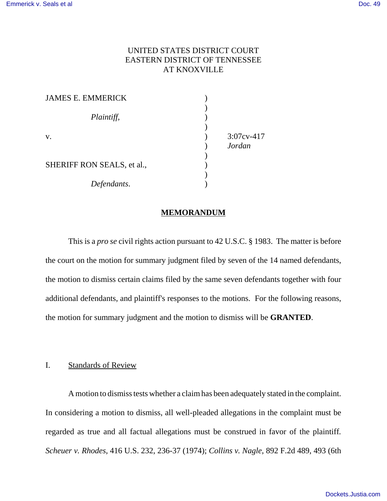## UNITED STATES DISTRICT COURT EASTERN DISTRICT OF TENNESSEE AT KNOXVILLE

| <b>JAMES E. EMMERICK</b>   |               |
|----------------------------|---------------|
|                            |               |
| Plaintiff,                 |               |
|                            |               |
| V.                         | $3:07cy-417$  |
|                            | <b>Jordan</b> |
|                            |               |
| SHERIFF RON SEALS, et al., |               |
|                            |               |
| Defendants.                |               |

## **MEMORANDUM**

This is a *pro se* civil rights action pursuant to 42 U.S.C. § 1983. The matter is before the court on the motion for summary judgment filed by seven of the 14 named defendants, the motion to dismiss certain claims filed by the same seven defendants together with four additional defendants, and plaintiff's responses to the motions. For the following reasons, the motion for summary judgment and the motion to dismiss will be **GRANTED**.

#### I. Standards of Review

A motion to dismiss tests whether a claim has been adequately stated in the complaint. In considering a motion to dismiss, all well-pleaded allegations in the complaint must be regarded as true and all factual allegations must be construed in favor of the plaintiff*. Scheuer v. Rhodes*, 416 U.S. 232, 236-37 (1974); *Collins v. Nagle*, 892 F.2d 489, 493 (6th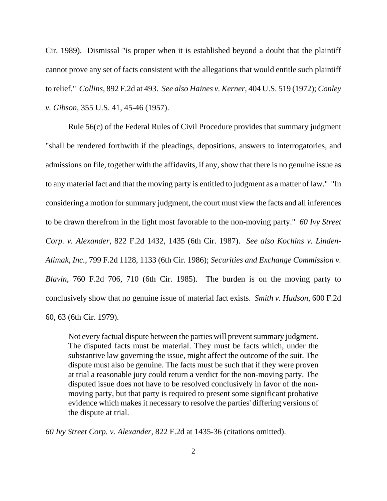Cir. 1989). Dismissal "is proper when it is established beyond a doubt that the plaintiff cannot prove any set of facts consistent with the allegations that would entitle such plaintiff to relief." *Collins*, 892 F.2d at 493. *See also Haines v. Kerner*, 404 U.S. 519 (1972); *Conley v. Gibson*, 355 U.S. 41, 45-46 (1957).

Rule 56(c) of the Federal Rules of Civil Procedure provides that summary judgment "shall be rendered forthwith if the pleadings, depositions, answers to interrogatories, and admissions on file, together with the affidavits, if any, show that there is no genuine issue as to any material fact and that the moving party is entitled to judgment as a matter of law." "In considering a motion for summary judgment, the court must view the facts and all inferences to be drawn therefrom in the light most favorable to the non-moving party." *60 Ivy Street Corp. v. Alexander*, 822 F.2d 1432, 1435 (6th Cir. 1987). *See also Kochins v. Linden-Alimak, Inc.*, 799 F.2d 1128, 1133 (6th Cir. 1986); *Securities and Exchange Commission v. Blavin*, 760 F.2d 706, 710 (6th Cir. 1985). The burden is on the moving party to conclusively show that no genuine issue of material fact exists. *Smith v. Hudson*, 600 F.2d 60, 63 (6th Cir. 1979).

Not every factual dispute between the parties will prevent summary judgment. The disputed facts must be material. They must be facts which, under the substantive law governing the issue, might affect the outcome of the suit. The dispute must also be genuine. The facts must be such that if they were proven at trial a reasonable jury could return a verdict for the non-moving party. The disputed issue does not have to be resolved conclusively in favor of the nonmoving party, but that party is required to present some significant probative evidence which makes it necessary to resolve the parties' differing versions of the dispute at trial.

*60 Ivy Street Corp. v. Alexander*, 822 F.2d at 1435-36 (citations omitted).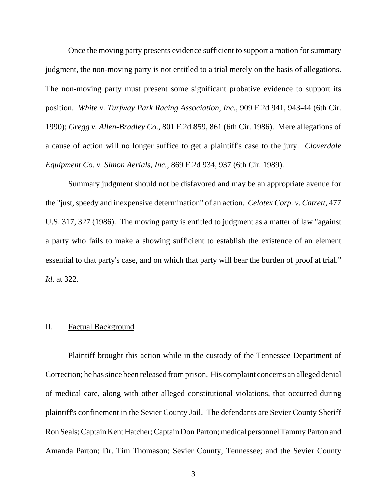Once the moving party presents evidence sufficient to support a motion for summary judgment, the non-moving party is not entitled to a trial merely on the basis of allegations. The non-moving party must present some significant probative evidence to support its position. *White v. Turfway Park Racing Association, Inc*., 909 F.2d 941, 943-44 (6th Cir. 1990); *Gregg v. Allen-Bradley Co.*, 801 F.2d 859, 861 (6th Cir. 1986). Mere allegations of a cause of action will no longer suffice to get a plaintiff's case to the jury. *Cloverdale Equipment Co. v. Simon Aerials, Inc.*, 869 F.2d 934, 937 (6th Cir. 1989).

Summary judgment should not be disfavored and may be an appropriate avenue for the "just, speedy and inexpensive determination" of an action. *Celotex Corp. v. Catrett*, 477 U.S. 317, 327 (1986). The moving party is entitled to judgment as a matter of law "against a party who fails to make a showing sufficient to establish the existence of an element essential to that party's case, and on which that party will bear the burden of proof at trial." *Id*. at 322.

## II. Factual Background

Plaintiff brought this action while in the custody of the Tennessee Department of Correction; he has since been released from prison. His complaint concerns an alleged denial of medical care, along with other alleged constitutional violations, that occurred during plaintiff's confinement in the Sevier County Jail. The defendants are Sevier County Sheriff Ron Seals; Captain Kent Hatcher; Captain Don Parton; medical personnel Tammy Parton and Amanda Parton; Dr. Tim Thomason; Sevier County, Tennessee; and the Sevier County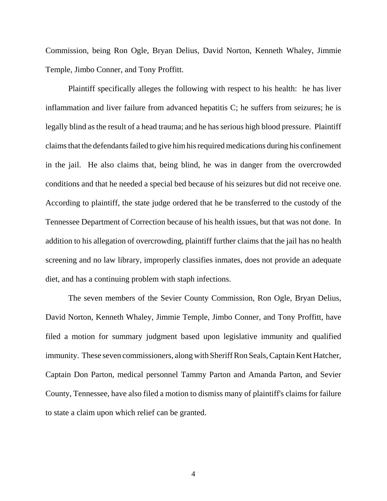Commission, being Ron Ogle, Bryan Delius, David Norton, Kenneth Whaley, Jimmie Temple, Jimbo Conner, and Tony Proffitt.

Plaintiff specifically alleges the following with respect to his health: he has liver inflammation and liver failure from advanced hepatitis C; he suffers from seizures; he is legally blind as the result of a head trauma; and he has serious high blood pressure. Plaintiff claims that the defendants failed to give him his required medications during his confinement in the jail. He also claims that, being blind, he was in danger from the overcrowded conditions and that he needed a special bed because of his seizures but did not receive one. According to plaintiff, the state judge ordered that he be transferred to the custody of the Tennessee Department of Correction because of his health issues, but that was not done. In addition to his allegation of overcrowding, plaintiff further claims that the jail has no health screening and no law library, improperly classifies inmates, does not provide an adequate diet, and has a continuing problem with staph infections.

The seven members of the Sevier County Commission, Ron Ogle, Bryan Delius, David Norton, Kenneth Whaley, Jimmie Temple, Jimbo Conner, and Tony Proffitt, have filed a motion for summary judgment based upon legislative immunity and qualified immunity. These seven commissioners, along with Sheriff Ron Seals, Captain Kent Hatcher, Captain Don Parton, medical personnel Tammy Parton and Amanda Parton, and Sevier County, Tennessee, have also filed a motion to dismiss many of plaintiff's claims for failure to state a claim upon which relief can be granted.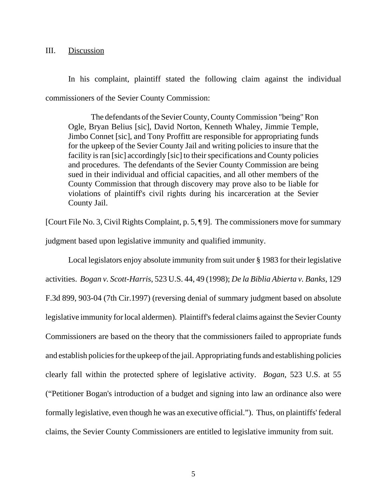#### III. Discussion

In his complaint, plaintiff stated the following claim against the individual commissioners of the Sevier County Commission:

The defendants of the Sevier County, County Commission "being" Ron Ogle, Bryan Belius [sic], David Norton, Kenneth Whaley, Jimmie Temple, Jimbo Connet [sic], and Tony Proffitt are responsible for appropriating funds for the upkeep of the Sevier County Jail and writing policies to insure that the facility is ran [sic] accordingly [sic] to their specifications and County policies and procedures. The defendants of the Sevier County Commission are being sued in their individual and official capacities, and all other members of the County Commission that through discovery may prove also to be liable for violations of plaintiff's civil rights during his incarceration at the Sevier County Jail.

[Court File No. 3, Civil Rights Complaint, p. 5, ¶ 9]. The commissioners move for summary judgment based upon legislative immunity and qualified immunity.

Local legislators enjoy absolute immunity from suit under § 1983 for their legislative activities. *Bogan v. Scott-Harris*, 523 U.S. 44, 49 (1998); *De la Biblia Abierta v. Banks*, 129 F.3d 899, 903-04 (7th Cir.1997) (reversing denial of summary judgment based on absolute legislative immunity for local aldermen). Plaintiff's federal claims against the Sevier County Commissioners are based on the theory that the commissioners failed to appropriate funds and establish policies for the upkeep of the jail. Appropriating funds and establishing policies clearly fall within the protected sphere of legislative activity. *Bogan*, 523 U.S. at 55 ("Petitioner Bogan's introduction of a budget and signing into law an ordinance also were formally legislative, even though he was an executive official."). Thus, on plaintiffs' federal claims, the Sevier County Commissioners are entitled to legislative immunity from suit.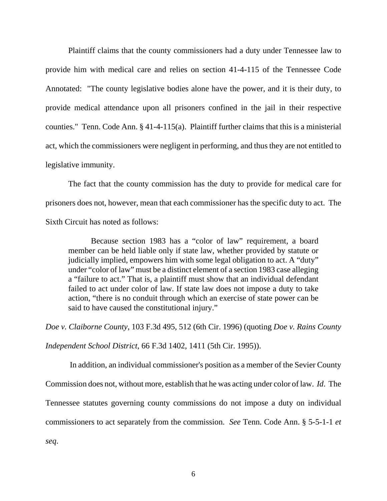Plaintiff claims that the county commissioners had a duty under Tennessee law to provide him with medical care and relies on section 41-4-115 of the Tennessee Code Annotated: "The county legislative bodies alone have the power, and it is their duty, to provide medical attendance upon all prisoners confined in the jail in their respective counties." Tenn. Code Ann. § 41-4-115(a). Plaintiff further claims that this is a ministerial act, which the commissioners were negligent in performing, and thus they are not entitled to legislative immunity.

The fact that the county commission has the duty to provide for medical care for prisoners does not, however, mean that each commissioner has the specific duty to act. The Sixth Circuit has noted as follows:

Because section 1983 has a "color of law" requirement, a board member can be held liable only if state law, whether provided by statute or judicially implied, empowers him with some legal obligation to act. A "duty" under "color of law" must be a distinct element of a section 1983 case alleging a "failure to act." That is, a plaintiff must show that an individual defendant failed to act under color of law. If state law does not impose a duty to take action, "there is no conduit through which an exercise of state power can be said to have caused the constitutional injury."

*Doe v. Claiborne County*, 103 F.3d 495, 512 (6th Cir. 1996) (quoting *Doe v. Rains County*

*Independent School District*, 66 F.3d 1402, 1411 (5th Cir. 1995)).

 In addition, an individual commissioner's position as a member of the Sevier County Commission does not, without more, establish that he was acting under color of law. *Id*. The Tennessee statutes governing county commissions do not impose a duty on individual commissioners to act separately from the commission. *See* Tenn. Code Ann. § 5-5-1-1 *et*

*seq*.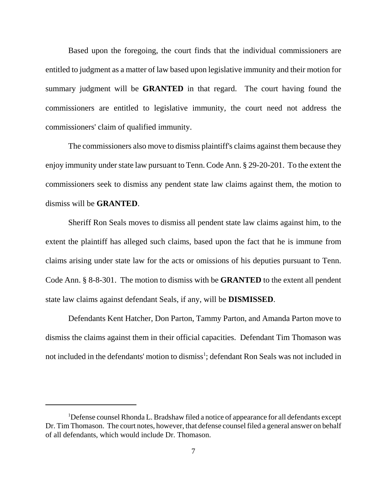Based upon the foregoing, the court finds that the individual commissioners are entitled to judgment as a matter of law based upon legislative immunity and their motion for summary judgment will be **GRANTED** in that regard. The court having found the commissioners are entitled to legislative immunity, the court need not address the commissioners' claim of qualified immunity.

The commissioners also move to dismiss plaintiff's claims against them because they enjoy immunity under state law pursuant to Tenn. Code Ann. § 29-20-201. To the extent the commissioners seek to dismiss any pendent state law claims against them, the motion to dismiss will be **GRANTED**.

Sheriff Ron Seals moves to dismiss all pendent state law claims against him, to the extent the plaintiff has alleged such claims, based upon the fact that he is immune from claims arising under state law for the acts or omissions of his deputies pursuant to Tenn. Code Ann. § 8-8-301. The motion to dismiss with be **GRANTED** to the extent all pendent state law claims against defendant Seals, if any, will be **DISMISSED**.

Defendants Kent Hatcher, Don Parton, Tammy Parton, and Amanda Parton move to dismiss the claims against them in their official capacities. Defendant Tim Thomason was not included in the defendants' motion to dismiss<sup>1</sup>; defendant Ron Seals was not included in

<sup>&</sup>lt;sup>1</sup>Defense counsel Rhonda L. Bradshaw filed a notice of appearance for all defendants except Dr. Tim Thomason. The court notes, however, that defense counsel filed a general answer on behalf of all defendants, which would include Dr. Thomason.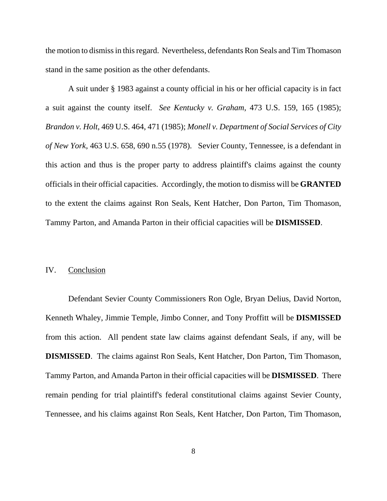the motion to dismiss in this regard. Nevertheless, defendants Ron Seals and Tim Thomason stand in the same position as the other defendants.

A suit under § 1983 against a county official in his or her official capacity is in fact a suit against the county itself. *See Kentucky v. Graham*, 473 U.S. 159, 165 (1985); *Brandon v. Holt*, 469 U.S. 464, 471 (1985); *Monell v. Department of Social Services of City of New York*, 463 U.S. 658, 690 n.55 (1978). Sevier County, Tennessee, is a defendant in this action and thus is the proper party to address plaintiff's claims against the county officials in their official capacities. Accordingly, the motion to dismiss will be **GRANTED** to the extent the claims against Ron Seals, Kent Hatcher, Don Parton, Tim Thomason, Tammy Parton, and Amanda Parton in their official capacities will be **DISMISSED**.

#### IV. Conclusion

Defendant Sevier County Commissioners Ron Ogle, Bryan Delius, David Norton, Kenneth Whaley, Jimmie Temple, Jimbo Conner, and Tony Proffitt will be **DISMISSED** from this action. All pendent state law claims against defendant Seals, if any, will be **DISMISSED**. The claims against Ron Seals, Kent Hatcher, Don Parton, Tim Thomason, Tammy Parton, and Amanda Parton in their official capacities will be **DISMISSED**. There remain pending for trial plaintiff's federal constitutional claims against Sevier County, Tennessee, and his claims against Ron Seals, Kent Hatcher, Don Parton, Tim Thomason,